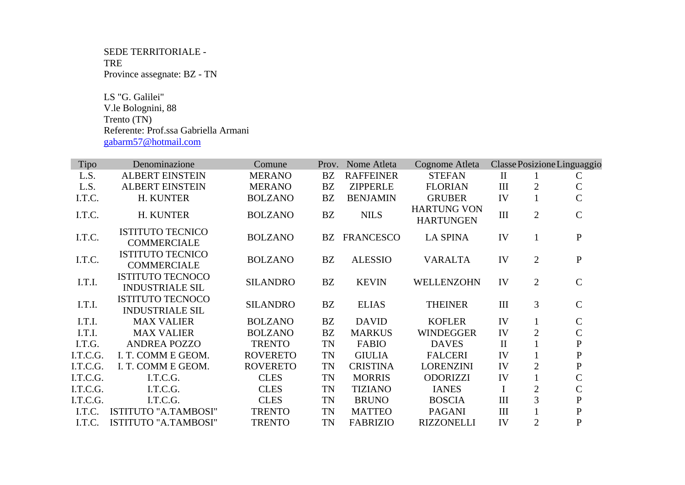## SEDE TERRITORIALE - TRE Province assegnate: BZ - TN

 LS "G. Galilei" V.le Bolognini, 88 Trento (TN) Referente: Prof.ssa Gabriella Armani gabarm57@hotmail.com

| <b>Tipo</b> | Denominazione                                     | Comune          | Prov.     | Nome Atleta         | Cognome Atleta                         |              |                | Classe Posizione Linguaggio |
|-------------|---------------------------------------------------|-----------------|-----------|---------------------|----------------------------------------|--------------|----------------|-----------------------------|
| L.S.        | <b>ALBERT EINSTEIN</b>                            | <b>MERANO</b>   | <b>BZ</b> | <b>RAFFEINER</b>    | <b>STEFAN</b>                          | $\rm II$     |                | $\mathsf{C}$                |
| L.S.        | <b>ALBERT EINSTEIN</b>                            | <b>MERANO</b>   | BZ        | <b>ZIPPERLE</b>     | <b>FLORIAN</b>                         | III          | $\overline{2}$ | $\mathsf{C}$                |
| I.T.C.      | H. KUNTER                                         | <b>BOLZANO</b>  | BZ        | <b>BENJAMIN</b>     | <b>GRUBER</b>                          | IV           | $\mathbf{1}$   | $\mathbf C$                 |
| I.T.C.      | H. KUNTER                                         | <b>BOLZANO</b>  | <b>BZ</b> | <b>NILS</b>         | <b>HARTUNG VON</b><br><b>HARTUNGEN</b> | $\rm III$    | $\overline{2}$ | $\mathsf{C}$                |
| I.T.C.      | <b>ISTITUTO TECNICO</b><br><b>COMMERCIALE</b>     | <b>BOLZANO</b>  |           | <b>BZ FRANCESCO</b> | <b>LA SPINA</b>                        | IV           | 1              | $\mathbf{P}$                |
| I.T.C.      | <b>ISTITUTO TECNICO</b><br><b>COMMERCIALE</b>     | <b>BOLZANO</b>  | BZ        | <b>ALESSIO</b>      | <b>VARALTA</b>                         | IV           | $\overline{2}$ | ${\bf P}$                   |
| I.T.I.      | <b>ISTITUTO TECNOCO</b><br><b>INDUSTRIALE SIL</b> | <b>SILANDRO</b> | BZ        | <b>KEVIN</b>        | WELLENZOHN                             | IV           | $\overline{2}$ | $\mathbf C$                 |
| I.T.I.      | <b>ISTITUTO TECNOCO</b><br><b>INDUSTRIALE SIL</b> | <b>SILANDRO</b> | <b>BZ</b> | <b>ELIAS</b>        | <b>THEINER</b>                         | III          | 3              | $\mathbf C$                 |
| I.T.I.      | <b>MAX VALIER</b>                                 | <b>BOLZANO</b>  | BZ        | <b>DAVID</b>        | <b>KOFLER</b>                          | IV           | $\mathbf{1}$   | $\mathsf{C}$                |
| I.T.I.      | <b>MAX VALIER</b>                                 | <b>BOLZANO</b>  | <b>BZ</b> | <b>MARKUS</b>       | <b>WINDEGGER</b>                       | IV           | $\overline{2}$ | $\mathcal{C}$               |
| I.T.G.      | <b>ANDREA POZZO</b>                               | <b>TRENTO</b>   | TN        | <b>FABIO</b>        | <b>DAVES</b>                           | $\mathbf{I}$ |                | ${\bf P}$                   |
| I.T.C.G.    | I. T. COMM E GEOM.                                | <b>ROVERETO</b> | <b>TN</b> | <b>GIULIA</b>       | <b>FALCERI</b>                         | IV           |                | ${\bf P}$                   |
| I.T.C.G.    | I. T. COMM E GEOM.                                | <b>ROVERETO</b> | <b>TN</b> | <b>CRISTINA</b>     | <b>LORENZINI</b>                       | IV           | 2              | ${\bf P}$                   |
| I.T.C.G.    | I.T.C.G.                                          | <b>CLES</b>     | <b>TN</b> | <b>MORRIS</b>       | <b>ODORIZZI</b>                        | IV           | $\mathbf{1}$   | $\overline{C}$              |
| I.T.C.G.    | I.T.C.G.                                          | <b>CLES</b>     | <b>TN</b> | <b>TIZIANO</b>      | <b>IANES</b>                           | I            | $\overline{2}$ | $\mathsf{C}$                |
| I.T.C.G.    | I.T.C.G.                                          | <b>CLES</b>     | <b>TN</b> | <b>BRUNO</b>        | <b>BOSCIA</b>                          | III          | 3              | $\mathbf{P}$                |
| I.T.C.      | ISTITUTO "A.TAMBOSI"                              | <b>TRENTO</b>   | <b>TN</b> | <b>MATTEO</b>       | <b>PAGANI</b>                          | III          |                | ${\bf P}$                   |
| I.T.C.      | <b>ISTITUTO "A.TAMBOSI"</b>                       | <b>TRENTO</b>   | TN        | <b>FABRIZIO</b>     | <b>RIZZONELLI</b>                      | IV           | $\overline{2}$ | $\mathbf{P}$                |